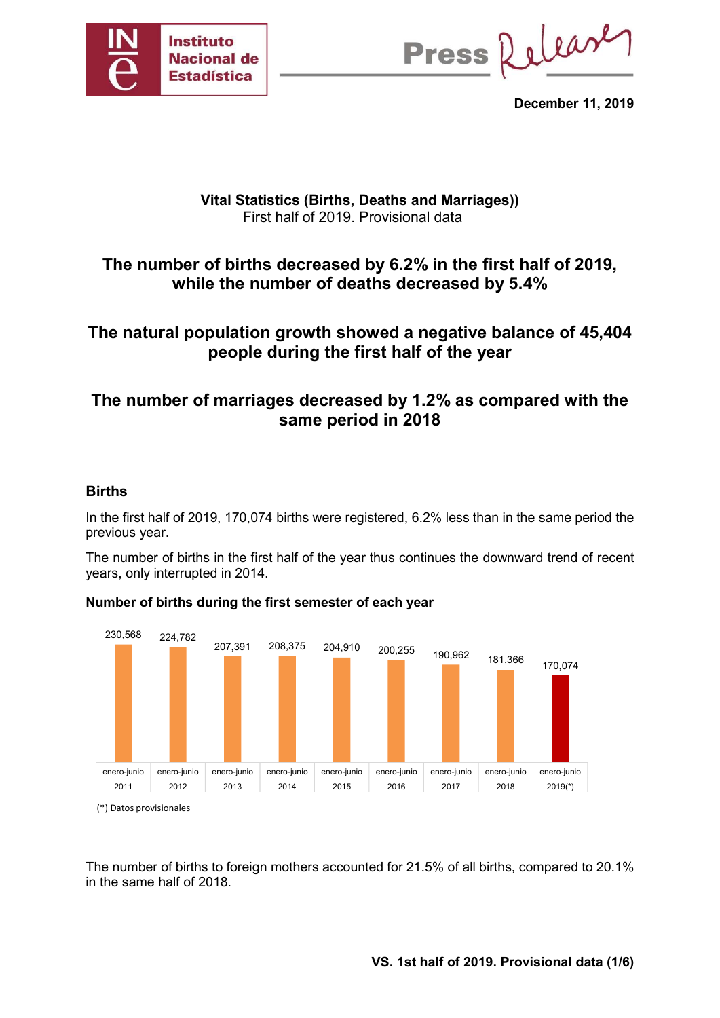

Press Release

December 11, 2019

### Vital Statistics (Births, Deaths and Marriages)) First half of 2019. Provisional data

# The number of births decreased by 6.2% in the first half of 2019, while the number of deaths decreased by 5.4%

# The natural population growth showed a negative balance of 45,404 people during the first half of the year

# The number of marriages decreased by 1.2% as compared with the same period in 2018

### Births

In the first half of 2019, 170,074 births were registered, 6.2% less than in the same period the previous year.

The number of births in the first half of the year thus continues the downward trend of recent years, only interrupted in 2014.

### Number of births during the first semester of each year



The number of births to foreign mothers accounted for 21.5% of all births, compared to 20.1% in the same half of 2018.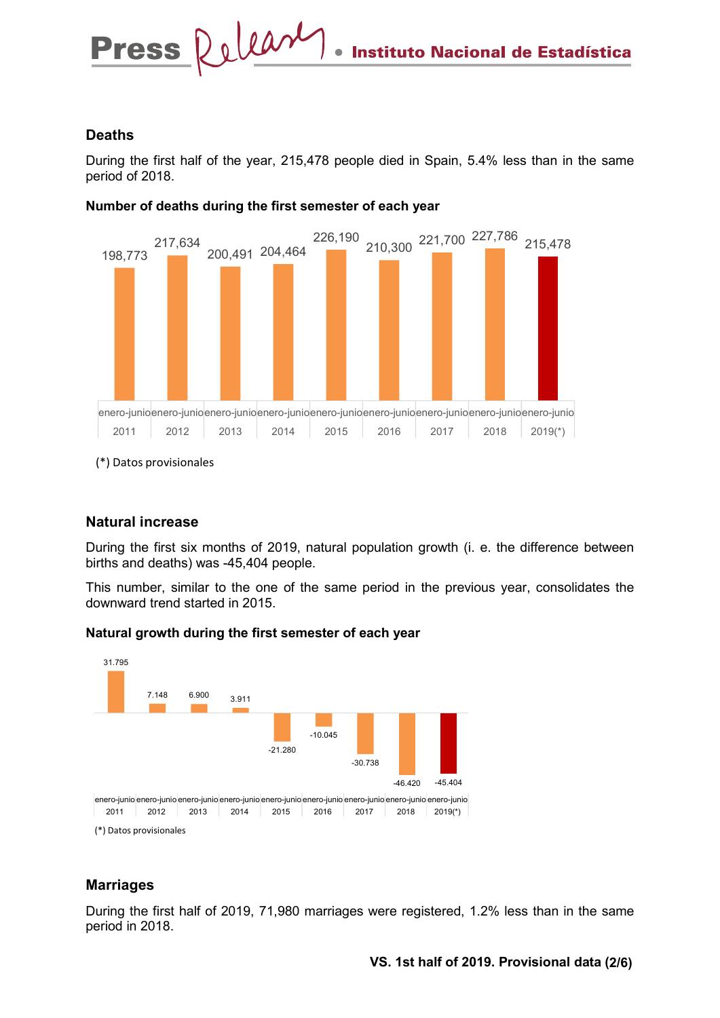### Deaths

During the first half of the year, 215,478 people died in Spain, 5.4% less than in the same period of 2018.



#### Number of deaths during the first semester of each year

(\*) Datos provisionales

### Natural increase

During the first six months of 2019, natural population growth (i. e. the difference between births and deaths) was -45,404 people.

This number, similar to the one of the same period in the previous year, consolidates the downward trend started in 2015.

### Natural growth during the first semester of each year



### **Marriages**

During the first half of 2019, 71,980 marriages were registered, 1.2% less than in the same period in 2018.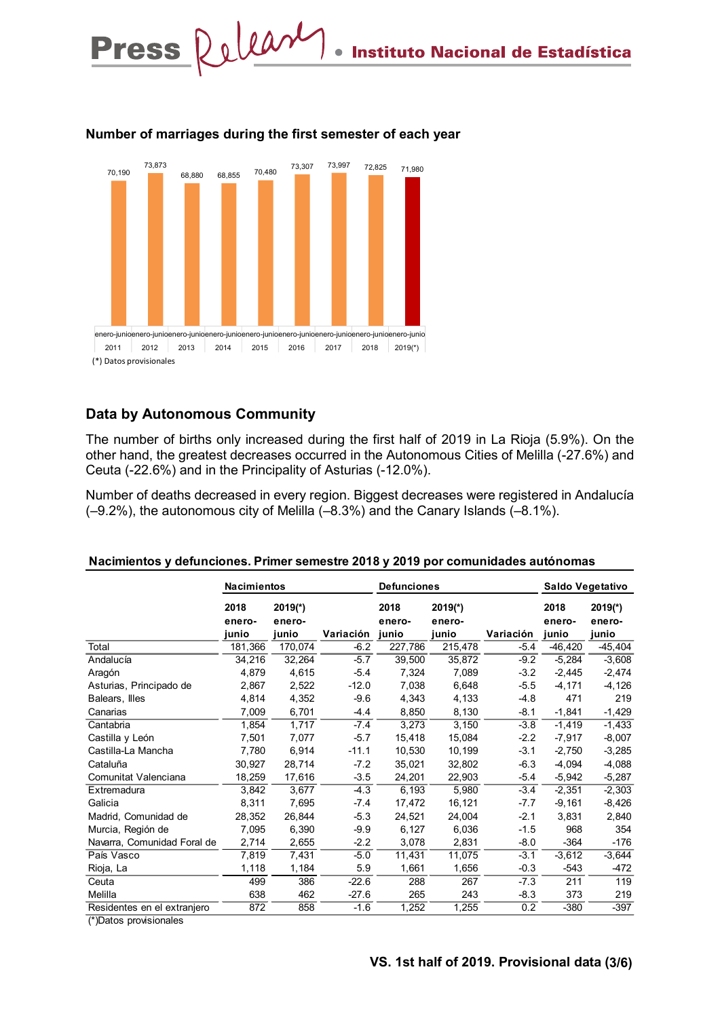

#### Number of marriages during the first semester of each year

### Data by Autonomous Community

| enero-junioenero-junioenero-junioenero-junioenero-junioenero-junioenero-junioenero-junioenero-junio<br>2012<br>2013<br>2011<br>(*) Datos provisionales                                                                                                       | 2014<br>2015            | 2016                         | 2017<br>2018 | $2019(*)$               |                              |           |                         |                              |
|--------------------------------------------------------------------------------------------------------------------------------------------------------------------------------------------------------------------------------------------------------------|-------------------------|------------------------------|--------------|-------------------------|------------------------------|-----------|-------------------------|------------------------------|
| <b>Data by Autonomous Community</b>                                                                                                                                                                                                                          |                         |                              |              |                         |                              |           |                         |                              |
| The number of births only increased during the first half of 2019 in La Rioja (5.9%). On the<br>other hand, the greatest decreases occurred in the Autonomous Cities of Melilla (-27.6%) and<br>Ceuta (-22.6%) and in the Principality of Asturias (-12.0%). |                         |                              |              |                         |                              |           |                         |                              |
| Number of deaths decreased in every region. Biggest decreases were registered in Andalucía<br>$(-9.2%)$ , the autonomous city of Melilla $(-8.3%)$ and the Canary Islands $(-8.1%)$ .                                                                        |                         |                              |              |                         |                              |           |                         |                              |
| Nacimientos y defunciones. Primer semestre 2018 y 2019 por comunidades autónomas                                                                                                                                                                             | Nacimientos             |                              |              | <b>Defunciones</b>      |                              |           |                         | Saldo Vegetativo             |
|                                                                                                                                                                                                                                                              | 2018<br>enero-<br>junio | $2019(*)$<br>enero-<br>junio | Variación    | 2018<br>enero-<br>junio | $2019(*)$<br>enero-<br>junio | Variación | 2018<br>enero-<br>junio | $2019(*)$<br>enero-<br>junio |
| Total                                                                                                                                                                                                                                                        | 181,366                 | 170,074                      | $-6.2$       |                         |                              | $-5.4$    |                         |                              |
|                                                                                                                                                                                                                                                              |                         | 32,264                       | $-5.7$       | 227,786<br>39,500       | 215,478<br>35,872            | $-9.2$    | $-46,420$<br>$-5,284$   | $-45,404$<br>$-3,608$        |
|                                                                                                                                                                                                                                                              | 34,216                  |                              | $-5.4$       | 7,324                   | 7,089                        | $-3.2$    | $-2,445$                | $-2,474$                     |
| Andalucía                                                                                                                                                                                                                                                    |                         |                              |              |                         |                              |           |                         |                              |
| Aragón                                                                                                                                                                                                                                                       | 4,879                   | 4,615                        |              |                         |                              |           |                         |                              |
| Asturias, Principado de                                                                                                                                                                                                                                      | 2,867                   | 2,522                        | $-12.0$      | 7,038                   | 6,648                        | $-5.5$    | $-4,171$                | $-4,126$                     |
| Balears, Illes                                                                                                                                                                                                                                               | 4,814                   | 4,352                        | $-9.6$       | 4,343                   | 4,133                        | $-4.8$    | 471                     | 219                          |
| Canarias                                                                                                                                                                                                                                                     | 7,009                   | 6,701                        | $-4.4$       | 8,850                   | 8,130                        | $-8.1$    | $-1,841$                | $-1,429$                     |
| Cantabria                                                                                                                                                                                                                                                    | 1,854                   | 1,717                        | $-7.4$       | 3,273                   | 3,150                        | $-3.8$    | $-1,419$                | $-1,433$                     |
| Castilla y León                                                                                                                                                                                                                                              | 7,501                   | 7,077                        | $-5.7$       | 15,418                  | 15,084                       | $-2.2$    | $-7,917$                | $-8,007$                     |
| Castilla-La Mancha                                                                                                                                                                                                                                           | 7,780                   | 6,914                        | $-11.1$      | 10,530                  | 10,199                       | $-3.1$    | $-2,750$                | $-3,285$                     |
| Cataluña                                                                                                                                                                                                                                                     | 30,927                  | 28,714                       | $-7.2$       | 35,021                  | 32,802                       | $-6.3$    | $-4,094$                | $-4,088$                     |
| Comunitat Valenciana                                                                                                                                                                                                                                         | 18,259                  | 17,616                       | $-3.5$       | 24,201                  | 22,903                       | $-5.4$    | $-5,942$                | $-5,287$                     |
| Extremadura                                                                                                                                                                                                                                                  | 3,842                   | 3,677                        | $-4.3$       | 6,193                   | 5,980                        | $-3.4$    | $-2,351$                | $-2,303$                     |
| Galicia                                                                                                                                                                                                                                                      | 8,311                   | 7,695                        | -7.4         | 17,472                  | 16,121                       | $-7.7$    | $-9,161$                | $-8,426$                     |
| Madrid, Comunidad de                                                                                                                                                                                                                                         | 28,352                  | 26,844                       | $-5.3$       | 24,521                  | 24,004                       | $-2.1$    | 3,831                   | 2,840                        |
| Murcia, Región de                                                                                                                                                                                                                                            | 7,095                   | 6,390                        | $-9.9$       | 6,127                   | 6,036                        | $-1.5$    | 968                     | 354                          |
| Navarra, Comunidad Foral de                                                                                                                                                                                                                                  | 2,714                   | 2,655                        | $-2.2$       | 3,078                   | 2,831                        | $-8.0$    | $-364$                  | $-176$                       |
| País Vasco                                                                                                                                                                                                                                                   | 7,819                   | 7,431                        | $-5.0$       | 11,431                  | 11,075                       | $-3.1$    | $-3,612$                | $-3,644$                     |
| Rioja, La                                                                                                                                                                                                                                                    | 1,118                   | 1,184                        | 5.9          | 1,661                   | 1,656                        | $-0.3$    | $-543$                  | $-472$                       |
| Ceuta                                                                                                                                                                                                                                                        | 499                     | 386                          | $-22.6$      | 288                     | 267                          | $-7.3$    | 211                     | 119                          |
| Melilla                                                                                                                                                                                                                                                      | 638                     | 462                          | $-27.6$      | 265                     | 243                          | $-8.3$    | 373                     | 219                          |
| Residentes en el extranjero                                                                                                                                                                                                                                  | 872                     | 858                          | $-1.6$       | 1,252                   | 1,255                        | 0.2       | $-380$                  | $-397$                       |

#### Nacimientos y defunciones. Primer semestre 2018 y 2019 por comunidades autónomas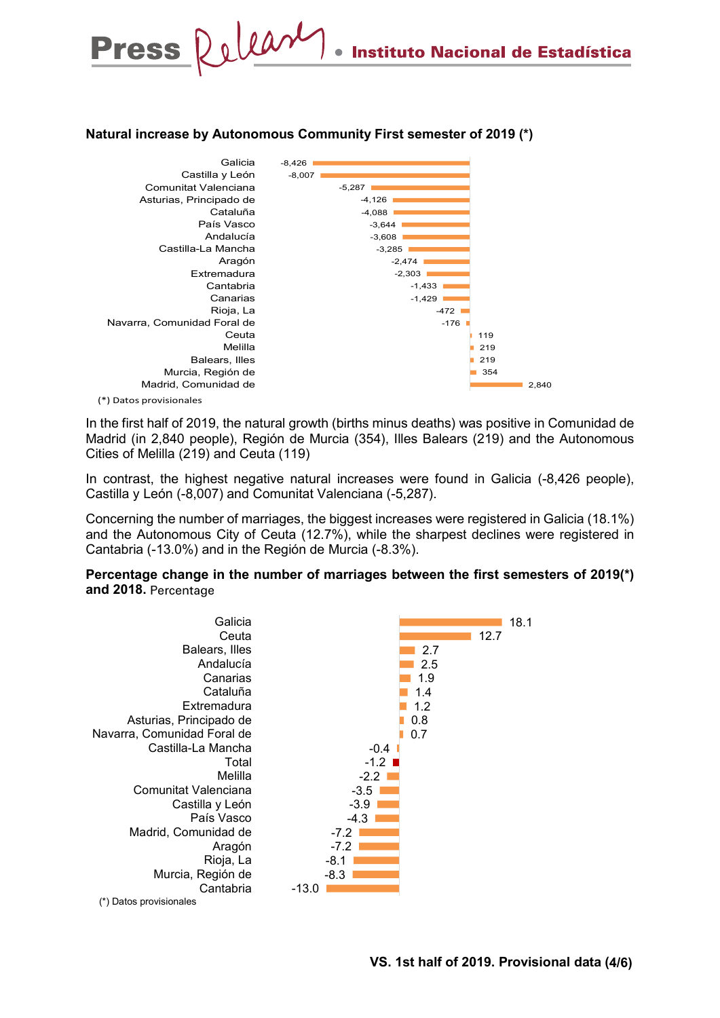### Natural increase by Autonomous Community First semester of 2019 (\*)



In the first half of 2019, the natural growth (births minus deaths) was positive in Comunidad de Madrid (in 2,840 people), Región de Murcia (354), Illes Balears (219) and the Autonomous Cities of Melilla (219) and Ceuta (119)

In contrast, the highest negative natural increases were found in Galicia (-8,426 people), Castilla y León (-8,007) and Comunitat Valenciana (-5,287).

Concerning the number of marriages, the biggest increases were registered in Galicia (18.1%) and the Autonomous City of Ceuta (12.7%), while the sharpest declines were registered in Cantabria (-13.0%) and in the Región de Murcia (-8.3%).

Percentage change in the number of marriages between the first semesters of 2019(\*) and 2018. Percentage

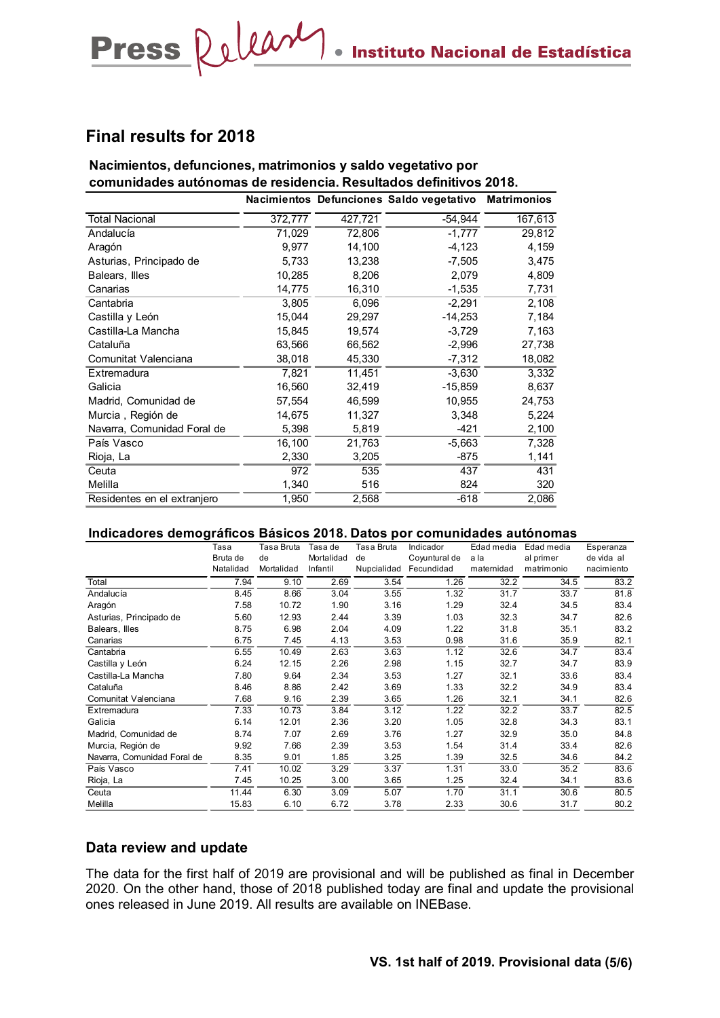## Final results for 2018

### Nacimientos, defunciones, matrimonios y saldo vegetativo por comunidades autónomas de residencia. Resultados definitivos 2018.

| Press Relear                                                           |              |                     |               |              | Instituto Nacional de Estadística        |                    |              |              |
|------------------------------------------------------------------------|--------------|---------------------|---------------|--------------|------------------------------------------|--------------------|--------------|--------------|
|                                                                        |              |                     |               |              |                                          |                    |              |              |
|                                                                        |              |                     |               |              |                                          |                    |              |              |
|                                                                        |              |                     |               |              |                                          |                    |              |              |
|                                                                        |              |                     |               |              |                                          |                    |              |              |
|                                                                        |              |                     |               |              |                                          |                    |              |              |
| <b>Final results for 2018</b>                                          |              |                     |               |              |                                          |                    |              |              |
|                                                                        |              |                     |               |              |                                          |                    |              |              |
|                                                                        |              |                     |               |              |                                          |                    |              |              |
| Nacimientos, defunciones, matrimonios y saldo vegetativo por           |              |                     |               |              |                                          |                    |              |              |
| comunidades autónomas de residencia. Resultados definitivos 2018.      |              |                     |               |              |                                          |                    |              |              |
|                                                                        |              |                     |               |              | Nacimientos Defunciones Saldo vegetativo | <b>Matrimonios</b> |              |              |
| <b>Total Nacional</b>                                                  |              | 372,777             |               | 427,721      | $-54,944$                                |                    | 167,613      |              |
| Andalucía                                                              |              | 71,029              |               | 72,806       | $-1,777$                                 |                    | 29,812       |              |
| Aragón                                                                 |              | 9,977               |               | 14,100       | $-4,123$                                 |                    | 4,159        |              |
| Asturias, Principado de                                                |              | 5,733               |               | 13,238       | $-7,505$                                 |                    | 3,475        |              |
| Balears, Illes                                                         |              | 10,285              |               | 8,206        | 2,079                                    |                    | 4,809        |              |
| Canarias                                                               |              | 14,775              |               | 16,310       | $-1,535$                                 |                    | 7,731        |              |
| Cantabria                                                              |              | 3,805               |               | 6,096        | $-2,291$                                 |                    | 2,108        |              |
|                                                                        |              | 15,044              |               |              |                                          |                    | 7,184        |              |
| Castilla y León                                                        |              |                     |               | 29,297       | $-14,253$                                |                    |              |              |
| Castilla-La Mancha                                                     |              | 15,845              |               | 19,574       | $-3,729$                                 |                    | 7,163        |              |
| Cataluña                                                               |              | 63,566              |               | 66,562       | $-2,996$                                 |                    | 27,738       |              |
| Comunitat Valenciana                                                   |              | 38,018              |               | 45,330       | $-7,312$                                 |                    | 18,082       |              |
| Extremadura                                                            |              | 7,821               |               | 11,451       | $-3,630$                                 |                    | 3,332        |              |
| Galicia                                                                |              | 16,560              |               | 32,419       | $-15,859$                                |                    | 8,637        |              |
| Madrid, Comunidad de                                                   |              | 57,554              |               | 46,599       | 10,955                                   |                    | 24,753       |              |
| Murcia, Región de                                                      |              | 14,675              |               | 11,327       | 3,348                                    |                    | 5,224        |              |
| Navarra, Comunidad Foral de                                            |              | 5,398               |               | 5,819        | $-421$                                   |                    | 2,100        |              |
| País Vasco                                                             |              | 16,100              |               | 21,763       | $-5,663$                                 |                    | 7,328        |              |
| Rioja, La                                                              |              | 2,330               |               | 3,205        | $-875$                                   |                    | 1,141        |              |
| Ceuta                                                                  |              | 972                 |               | 535          | 437                                      |                    | 431          |              |
| Melilla                                                                |              | 1,340               |               | 516          | 824                                      |                    | 320          |              |
| Residentes en el extranjero                                            |              | 1,950               |               | 2,568        | $-618$                                   |                    | 2,086        |              |
|                                                                        |              |                     |               |              |                                          |                    |              |              |
| Indicadores demográficos Básicos 2018. Datos por comunidades autónomas |              |                     |               |              |                                          |                    |              |              |
|                                                                        | Tasa         | Tasa Bruta Tasa de  |               | Tasa Bruta   | Indicador                                | Edad media         | Edad media   | Esperanza    |
|                                                                        | Bruta de     | de                  | Mortalidad de |              | Coyuntural de a la                       |                    | al primer    | de vida al   |
|                                                                        | Natalidad    | Mortalidad Infantil |               |              | Nupcialidad Fecundidad                   | maternidad         | matrimonio   | nacimiento   |
| Total                                                                  | 7.94         | 9.10                | 2.69          | 3.54         | 1.26                                     | 32.2               | 34.5         | 83.2         |
| Andalucía                                                              | 8.45         | 8.66                | 3.04          | 3.55         | 1.32                                     | 31.7               | 33.7         | 81.8         |
| Aragón<br>Asturias, Principado de                                      | 7.58<br>5.60 | 10.72<br>12.93      | 1.90<br>2.44  | 3.16<br>3.39 | 1.29<br>1.03                             | 32.4<br>32.3       | 34.5<br>34.7 | 83.4<br>82.6 |
| Balears, Illes                                                         | 8.75         | 6.98                | 2.04          | 4.09         | 1.22                                     | 31.8               | 35.1         | 83.2         |
| Canarias                                                               | 6.75         | 7.45                | 4.13          | 3.53         | 0.98                                     | 31.6               | 35.9         | 82.1         |
| Cantabria                                                              | 6.55         | 10.49               | 2.63          | 3.63         | 1.12                                     | 32.6               | 34.7         | 83.4         |
| Castilla y León                                                        | 6.24         | 12.15               | 2.26          | 2.98         | 1.15                                     | 32.7               | 34.7         | 83.9         |
| Castilla-La Mancha                                                     | 7.80         | 9.64                | 2.34          | 3.53         | 1.27                                     | 32.1               | 33.6         | 83.4         |
| Cataluña<br>Comunitat Valenciana                                       | 8.46<br>7.68 | 8.86<br>9.16        | 2.42<br>2.39  | 3.69<br>3.65 | 1.33<br>1.26                             | 32.2<br>32.1       | 34.9<br>34.1 | 83.4<br>82.6 |
|                                                                        |              |                     |               |              |                                          |                    |              |              |

#### Indicadores demográficos Básicos 2018. Datos por comunidades autónomas

| Castilla-La Mancha                                                                             |              | 15,845        |              | 19,574       | $-3,729$               |              | 7,163        |              |
|------------------------------------------------------------------------------------------------|--------------|---------------|--------------|--------------|------------------------|--------------|--------------|--------------|
| Cataluña                                                                                       |              | 63,566        |              | 66,562       | $-2,996$               |              | 27,738       |              |
| Comunitat Valenciana                                                                           |              | 38,018        |              | 45,330       | $-7,312$               |              | 18,082       |              |
| Extremadura                                                                                    |              | 7,821         |              | 11,451       | $-3,630$               |              | 3,332        |              |
| Galicia                                                                                        |              | 16,560        |              | 32,419       | $-15,859$              |              | 8,637        |              |
| Madrid, Comunidad de                                                                           |              | 57,554        |              | 46,599       | 10,955                 |              | 24,753       |              |
| Murcia, Región de                                                                              |              | 14,675        |              | 11,327       |                        | 3,348        | 5,224        |              |
| Navarra, Comunidad Foral de                                                                    |              | 5,398         |              | 5,819        |                        | $-421$       | 2,100        |              |
| País Vasco                                                                                     |              | 16,100        |              | 21,763       | $-5,663$               |              | 7,328        |              |
| Rioja, La                                                                                      |              | 2,330         |              | 3,205        |                        | $-875$       | 1,141        |              |
| Ceuta                                                                                          |              | 972           |              | 535          |                        | 437          | 431          |              |
|                                                                                                |              |               |              |              |                        |              |              |              |
| Melilla                                                                                        |              | 1,340         |              | 516          |                        | 824          | 320          |              |
| Residentes en el extranjero                                                                    |              | 1,950         |              | 2,568        |                        | $-618$       | 2,086        |              |
|                                                                                                |              |               |              |              |                        |              |              |              |
| Indicadores demográficos Básicos 2018. Datos por comunidades autónomas                         |              |               |              |              |                        |              |              |              |
|                                                                                                | Tasa         | Tasa Bruta    | Tasa de      | Tasa Bruta   | Indicador              | Edad media   | Edad media   | Esperanza    |
|                                                                                                | Bruta de     | de            | Mortalidad   | de           | Coyuntural de a la     |              | al primer    | de vida al   |
|                                                                                                | Natalidad    | Mortalidad    | Infantil     |              | Nupcialidad Fecundidad | maternidad   | matrimonio   | nacimiento   |
| Total                                                                                          | 7.94         | 9.10          | 2.69         | 3.54         | 1.26                   | 32.2         | 34.5         | 83.2         |
| Andalucía                                                                                      | 8.45         | 8.66          | 3.04         | 3.55         | 1.32                   | 31.7         | 33.7         | 81.8         |
| Aragón                                                                                         | 7.58         | 10.72         | 1.90         | 3.16         | 1.29                   | 32.4         | 34.5         | 83.4         |
| Asturias, Principado de                                                                        | 5.60         | 12.93         | 2.44         | 3.39         | 1.03                   | 32.3         | 34.7         | 82.6         |
| Balears, Illes                                                                                 | 8.75         | 6.98          | 2.04         | 4.09         | 1.22                   | 31.8         | 35.1         | 83.2         |
| Canarias                                                                                       | 6.75         | 7.45          | 4.13         | 3.53         | 0.98                   | 31.6         | 35.9         | 82.1         |
| Cantabria                                                                                      | 6.55         | 10.49         | 2.63         | 3.63         | 1.12                   | 32.6         | 34.7         | 83.4         |
| Castilla y León                                                                                | 6.24         | 12.15         | 2.26         | 2.98         | 1.15                   | 32.7         | 34.7         | 83.9         |
| Castilla-La Mancha                                                                             | 7.80         | 9.64          | 2.34         | 3.53         | 1.27                   | 32.1         | 33.6         | 83.4         |
| Cataluña                                                                                       | 8.46         | 8.86          | 2.42         | 3.69         | 1.33                   | 32.2         | 34.9         | 83.4         |
| Comunitat Valenciana<br>Extremadura                                                            | 7.68<br>7.33 | 9.16<br>10.73 | 2.39<br>3.84 | 3.65<br>3.12 | 1.26<br>1.22           | 32.1<br>32.2 | 34.1<br>33.7 | 82.6<br>82.5 |
| Galicia                                                                                        | 6.14         | 12.01         | 2.36         | 3.20         | 1.05                   | 32.8         | 34.3         | 83.1         |
| Madrid, Comunidad de                                                                           | 8.74         | 7.07          | 2.69         | 3.76         | 1.27                   | 32.9         | 35.0         | 84.8         |
| Murcia, Región de                                                                              | 9.92         | 7.66          | 2.39         | 3.53         | 1.54                   | 31.4         | 33.4         | 82.6         |
| Navarra, Comunidad Foral de                                                                    | 8.35         | 9.01          | 1.85         | 3.25         | 1.39                   | 32.5         | 34.6         | 84.2         |
| País Vasco                                                                                     | 7.41         | 10.02         | 3.29         | 3.37         | 1.31                   | 33.0         | 35.2         | 83.6         |
| Rioja, La                                                                                      | 7.45         | 10.25         | 3.00         | 3.65         | 1.25                   | 32.4         | 34.1         | 83.6         |
| Ceuta                                                                                          | 11.44        | 6.30          | 3.09         | 5.07         | 1.70                   | 31.1         | 30.6         | 80.5         |
| Melilla                                                                                        | 15.83        | 6.10          | 6.72         | 3.78         | 2.33                   | 30.6         | 31.7         | 80.2         |
|                                                                                                |              |               |              |              |                        |              |              |              |
| Data review and update                                                                         |              |               |              |              |                        |              |              |              |
| The data for the first half of 2019 are provisional and will be published as final in December |              |               |              |              |                        |              |              |              |

### Data review and update

The data for the first half of 2019 are provisional and will be published as final in December 2020. On the other hand, those of 2018 published today are final and update the provisional ones released in June 2019. All results are available on INEBase.